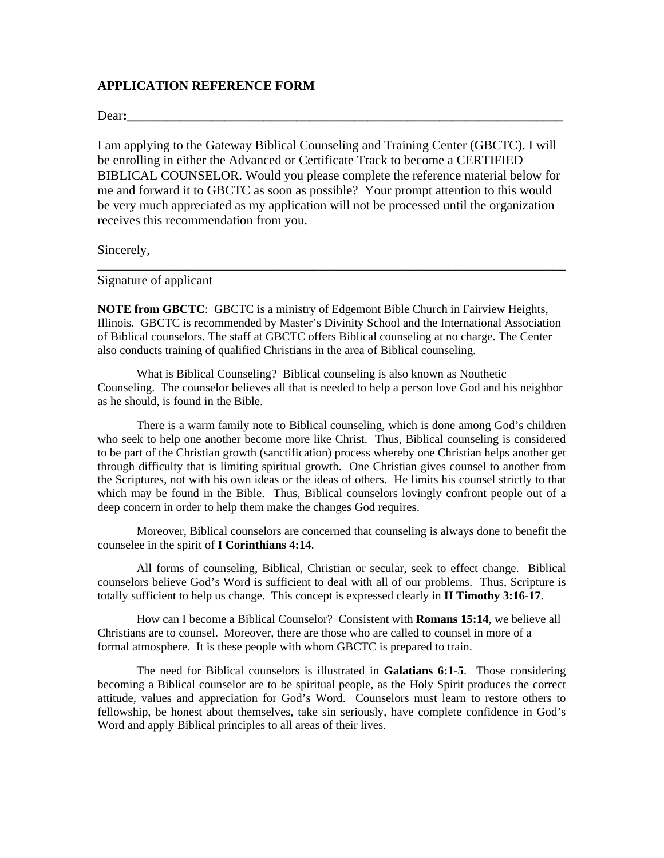### **APPLICATION REFERENCE FORM**

Dear**:\_\_\_\_\_\_\_\_\_\_\_\_\_\_\_\_\_\_\_\_\_\_\_\_\_\_\_\_\_\_\_\_\_\_\_\_\_\_\_\_\_\_\_\_\_\_\_\_\_\_\_\_\_\_\_\_\_\_\_\_\_\_\_\_\_\_\_**

I am applying to the Gateway Biblical Counseling and Training Center (GBCTC). I will be enrolling in either the Advanced or Certificate Track to become a CERTIFIED BIBLICAL COUNSELOR. Would you please complete the reference material below for me and forward it to GBCTC as soon as possible? Your prompt attention to this would be very much appreciated as my application will not be processed until the organization receives this recommendation from you.

Sincerely,

Signature of applicant

**NOTE from GBCTC**: GBCTC is a ministry of Edgemont Bible Church in Fairview Heights, Illinois. GBCTC is recommended by Master's Divinity School and the International Association of Biblical counselors. The staff at GBCTC offers Biblical counseling at no charge. The Center also conducts training of qualified Christians in the area of Biblical counseling.

\_\_\_\_\_\_\_\_\_\_\_\_\_\_\_\_\_\_\_\_\_\_\_\_\_\_\_\_\_\_\_\_\_\_\_\_\_\_\_\_\_\_\_\_\_\_\_\_\_\_\_\_\_\_\_\_\_\_\_\_\_\_\_\_\_\_\_\_\_\_\_\_

What is Biblical Counseling? Biblical counseling is also known as Nouthetic Counseling. The counselor believes all that is needed to help a person love God and his neighbor as he should, is found in the Bible.

There is a warm family note to Biblical counseling, which is done among God's children who seek to help one another become more like Christ. Thus, Biblical counseling is considered to be part of the Christian growth (sanctification) process whereby one Christian helps another get through difficulty that is limiting spiritual growth. One Christian gives counsel to another from the Scriptures, not with his own ideas or the ideas of others. He limits his counsel strictly to that which may be found in the Bible. Thus, Biblical counselors lovingly confront people out of a deep concern in order to help them make the changes God requires.

Moreover, Biblical counselors are concerned that counseling is always done to benefit the counselee in the spirit of **I Corinthians 4:14**.

All forms of counseling, Biblical, Christian or secular, seek to effect change. Biblical counselors believe God's Word is sufficient to deal with all of our problems. Thus, Scripture is totally sufficient to help us change. This concept is expressed clearly in **II Timothy 3:16-17**.

How can I become a Biblical Counselor? Consistent with **Romans 15:14**, we believe all Christians are to counsel. Moreover, there are those who are called to counsel in more of a formal atmosphere. It is these people with whom GBCTC is prepared to train.

The need for Biblical counselors is illustrated in **Galatians 6:1-5**. Those considering becoming a Biblical counselor are to be spiritual people, as the Holy Spirit produces the correct attitude, values and appreciation for God's Word. Counselors must learn to restore others to fellowship, be honest about themselves, take sin seriously, have complete confidence in God's Word and apply Biblical principles to all areas of their lives.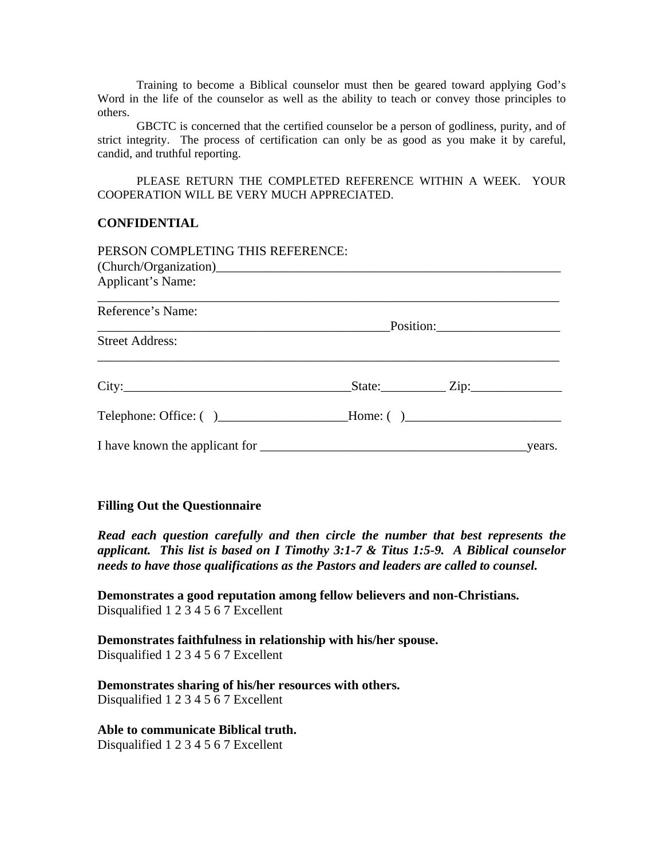Training to become a Biblical counselor must then be geared toward applying God's Word in the life of the counselor as well as the ability to teach or convey those principles to others.

GBCTC is concerned that the certified counselor be a person of godliness, purity, and of strict integrity. The process of certification can only be as good as you make it by careful, candid, and truthful reporting.

PLEASE RETURN THE COMPLETED REFERENCE WITHIN A WEEK. YOUR COOPERATION WILL BE VERY MUCH APPRECIATED.

## **CONFIDENTIAL**

| PERSON COMPLETING THIS REFERENCE:                                                |                 |  |
|----------------------------------------------------------------------------------|-----------------|--|
|                                                                                  |                 |  |
| Applicant's Name:                                                                |                 |  |
| Reference's Name:                                                                |                 |  |
|                                                                                  |                 |  |
| <b>Street Address:</b>                                                           |                 |  |
|                                                                                  | $State:$ $Zip:$ |  |
| Telephone: Office: () _______________________Home: () __________________________ |                 |  |
|                                                                                  |                 |  |

#### **Filling Out the Questionnaire**

*Read each question carefully and then circle the number that best represents the applicant. This list is based on I Timothy 3:1-7 & Titus 1:5-9. A Biblical counselor needs to have those qualifications as the Pastors and leaders are called to counsel.* 

**Demonstrates a good reputation among fellow believers and non-Christians.**  Disqualified 1 2 3 4 5 6 7 Excellent

**Demonstrates faithfulness in relationship with his/her spouse.**  Disqualified 1 2 3 4 5 6 7 Excellent

**Demonstrates sharing of his/her resources with others.**  Disqualified 1 2 3 4 5 6 7 Excellent

**Able to communicate Biblical truth.**  Disqualified 1 2 3 4 5 6 7 Excellent